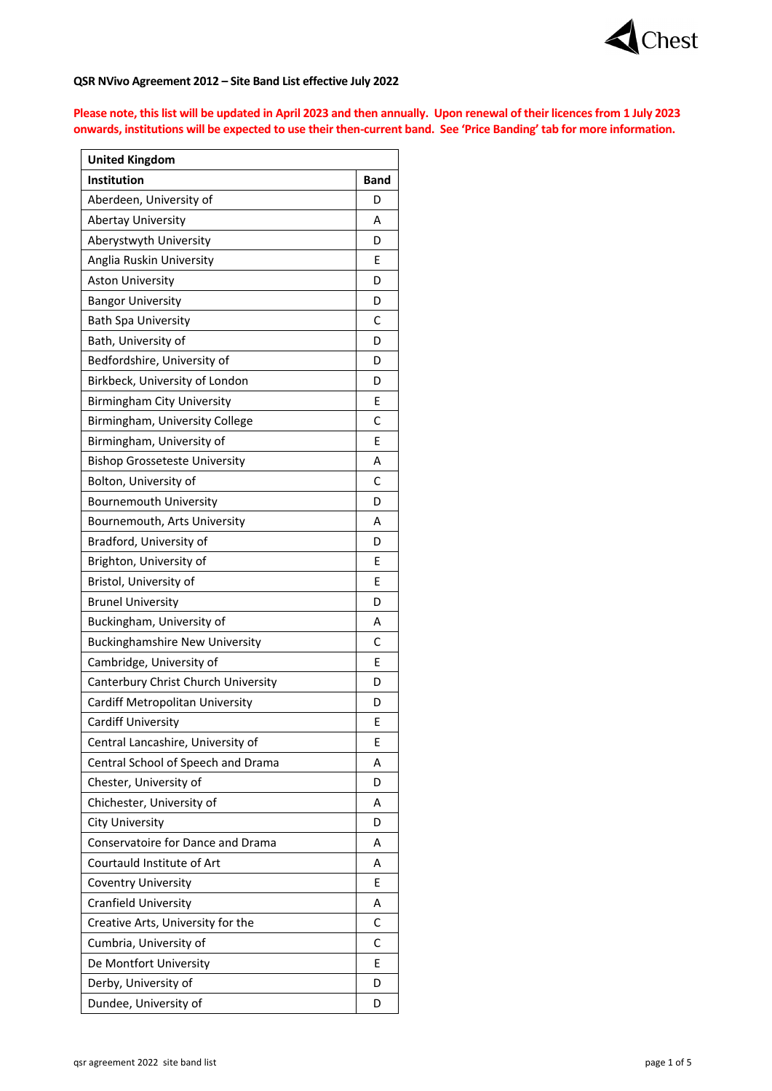

## **QSR NVivo Agreement 2012 – Site Band List effective July 2022**

**Please note, this list will be updated in April 2023 and then annually. Upon renewal of their licences from 1 July 2023 onwards, institutions will be expected to use their then-current band. See 'Price Banding' tab for more information.**

| <b>United Kingdom</b>                    |             |
|------------------------------------------|-------------|
| <b>Institution</b>                       | <b>Band</b> |
| Aberdeen, University of                  | D           |
| <b>Abertay University</b>                | А           |
| Aberystwyth University                   | D           |
| Anglia Ruskin University                 | Е           |
| <b>Aston University</b>                  | D           |
| <b>Bangor University</b>                 | D           |
| <b>Bath Spa University</b>               | C           |
| Bath, University of                      | D           |
| Bedfordshire, University of              | D           |
| Birkbeck, University of London           | D           |
| Birmingham City University               | Ε           |
| Birmingham, University College           | C           |
| Birmingham, University of                | Е           |
| <b>Bishop Grosseteste University</b>     | Α           |
| Bolton, University of                    | C           |
| <b>Bournemouth University</b>            | D           |
| Bournemouth, Arts University             | А           |
| Bradford, University of                  | D           |
| Brighton, University of                  | E           |
| Bristol, University of                   | Ε           |
| <b>Brunel University</b>                 | D           |
| Buckingham, University of                | А           |
| <b>Buckinghamshire New University</b>    | C           |
| Cambridge, University of                 | Е           |
| Canterbury Christ Church University      | D           |
| Cardiff Metropolitan University          | D           |
| <b>Cardiff University</b>                | Ε           |
| Central Lancashire, University of        | Е           |
| Central School of Speech and Drama       | Α           |
| Chester, University of                   | D           |
| Chichester, University of                | А           |
| City University                          | D           |
| <b>Conservatoire for Dance and Drama</b> | А           |
| Courtauld Institute of Art               | А           |
| <b>Coventry University</b>               | Ε           |
| Cranfield University                     | Α           |
| Creative Arts, University for the        | C           |
| Cumbria, University of                   | С           |
| De Montfort University                   | Е           |
| Derby, University of                     | D           |
| Dundee, University of                    | D           |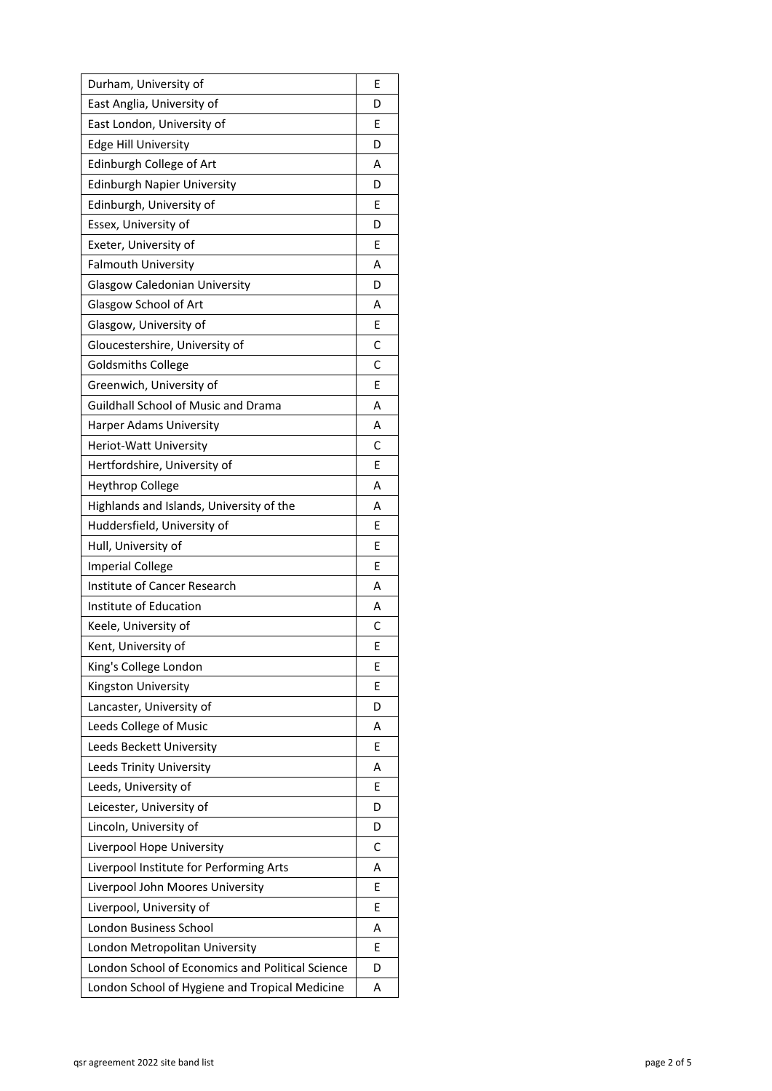| Durham, University of                            | Е |
|--------------------------------------------------|---|
| East Anglia, University of                       | D |
| East London, University of                       | Е |
| <b>Edge Hill University</b>                      | D |
| Edinburgh College of Art                         | А |
| <b>Edinburgh Napier University</b>               | D |
| Edinburgh, University of                         | Ε |
| Essex, University of                             | D |
| Exeter, University of                            | Е |
| <b>Falmouth University</b>                       | А |
| <b>Glasgow Caledonian University</b>             | D |
| Glasgow School of Art                            | А |
| Glasgow, University of                           | Е |
| Gloucestershire, University of                   | С |
| <b>Goldsmiths College</b>                        | С |
| Greenwich, University of                         | E |
| <b>Guildhall School of Music and Drama</b>       | А |
| <b>Harper Adams University</b>                   | А |
| Heriot-Watt University                           | C |
| Hertfordshire, University of                     | Е |
| Heythrop College                                 | А |
| Highlands and Islands, University of the         | А |
| Huddersfield, University of                      | Е |
| Hull, University of                              | Е |
| <b>Imperial College</b>                          | Е |
| Institute of Cancer Research                     | А |
| Institute of Education                           | А |
| Keele, University of                             | С |
| Kent, University of                              | Е |
| King's College London                            | Е |
| Kingston University                              | Ε |
| Lancaster, University of                         | D |
| Leeds College of Music                           | А |
| Leeds Beckett University                         | Е |
| Leeds Trinity University                         | Α |
| Leeds, University of                             | Е |
| Leicester, University of                         | D |
| Lincoln, University of                           | D |
| Liverpool Hope University                        | C |
| Liverpool Institute for Performing Arts          | А |
| Liverpool John Moores University                 | Е |
| Liverpool, University of                         | Е |
| London Business School                           | А |
| London Metropolitan University                   | Е |
| London School of Economics and Political Science | D |
| London School of Hygiene and Tropical Medicine   | А |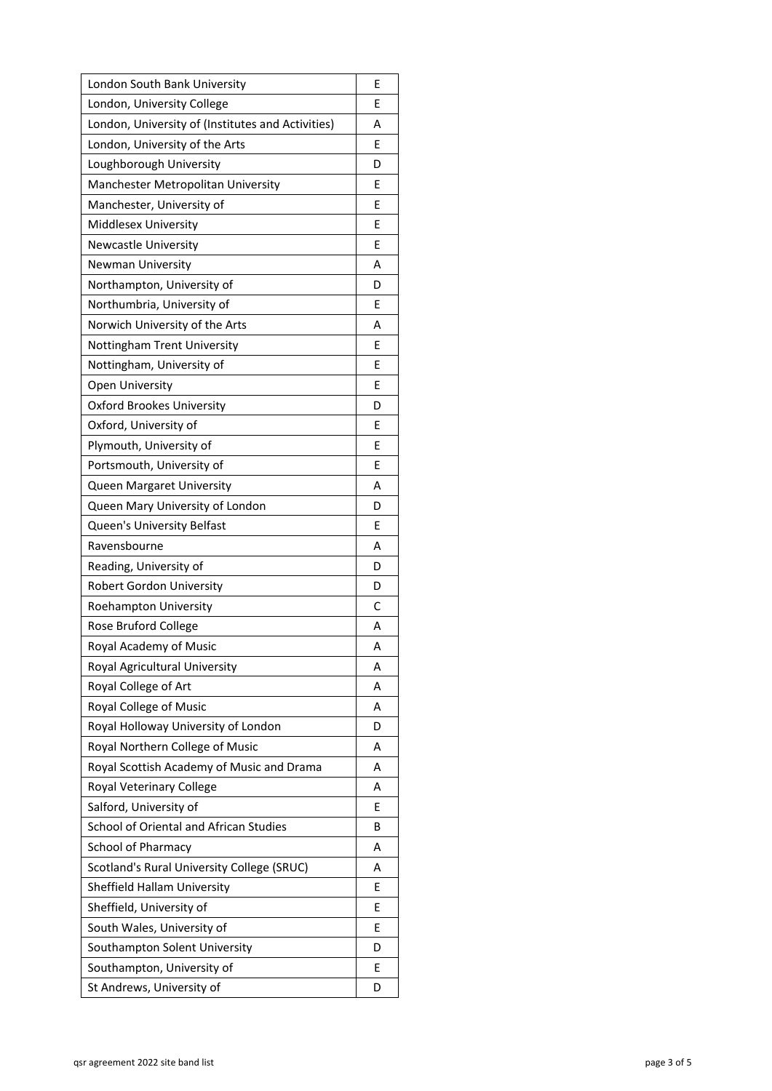| London South Bank University                      | Е |
|---------------------------------------------------|---|
| London, University College                        | Е |
| London, University of (Institutes and Activities) | А |
| London, University of the Arts                    | Е |
| Loughborough University                           | D |
| Manchester Metropolitan University                | Е |
| Manchester, University of                         | Е |
| Middlesex University                              | E |
| <b>Newcastle University</b>                       | Е |
| <b>Newman University</b>                          | А |
| Northampton, University of                        | D |
| Northumbria, University of                        | Е |
| Norwich University of the Arts                    | А |
| Nottingham Trent University                       | Е |
| Nottingham, University of                         | Е |
| Open University                                   | Е |
| <b>Oxford Brookes University</b>                  | D |
| Oxford, University of                             | Е |
| Plymouth, University of                           | Е |
| Portsmouth, University of                         | Е |
| <b>Queen Margaret University</b>                  | А |
| Queen Mary University of London                   | D |
| Queen's University Belfast                        | Е |
| Ravensbourne                                      | А |
| Reading, University of                            | D |
| <b>Robert Gordon University</b>                   | D |
| Roehampton University                             | C |
| Rose Bruford College                              | А |
| Royal Academy of Music                            | А |
| Royal Agricultural University                     | А |
| Royal College of Art                              | А |
| Royal College of Music                            | А |
| Royal Holloway University of London               | D |
| Royal Northern College of Music                   | А |
| Royal Scottish Academy of Music and Drama         | А |
| Royal Veterinary College                          | А |
| Salford, University of                            | Е |
| School of Oriental and African Studies            | В |
| School of Pharmacy                                | А |
| Scotland's Rural University College (SRUC)        | А |
| Sheffield Hallam University                       | Е |
| Sheffield, University of                          | Е |
| South Wales, University of                        | Е |
| Southampton Solent University                     | D |
| Southampton, University of                        | Е |
| St Andrews, University of                         | D |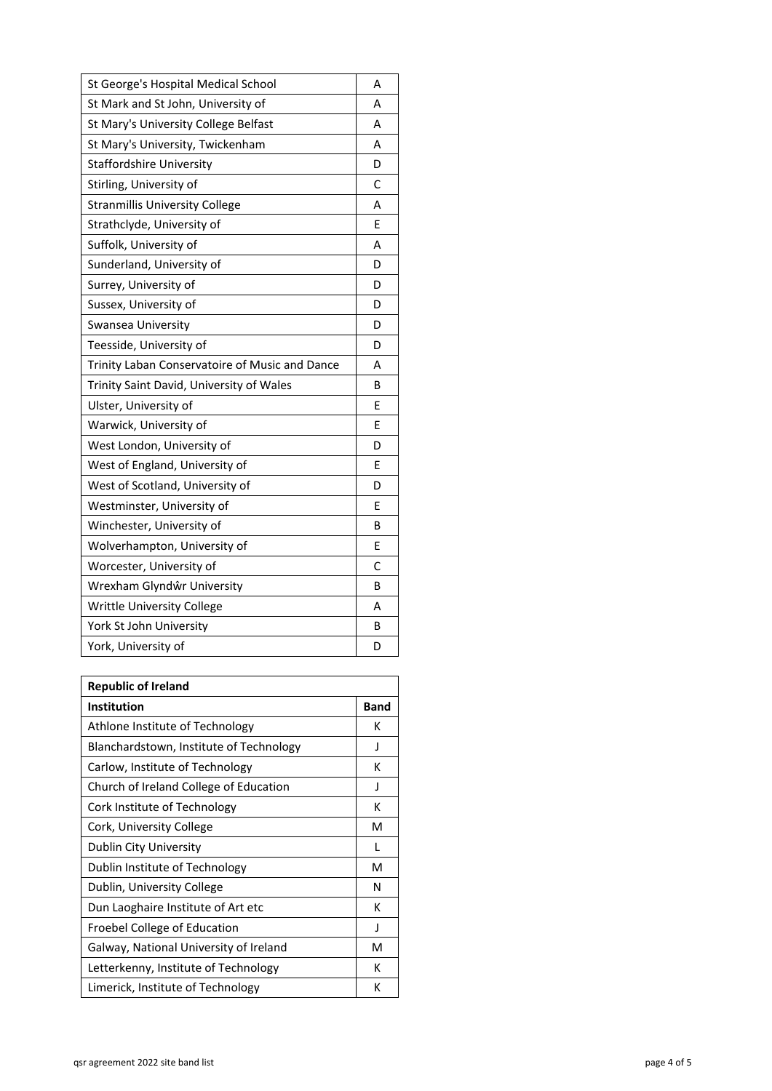| St George's Hospital Medical School            | А |
|------------------------------------------------|---|
| St Mark and St John, University of             | Α |
| St Mary's University College Belfast           | А |
| St Mary's University, Twickenham               | А |
| <b>Staffordshire University</b>                | D |
| Stirling, University of                        | C |
| <b>Stranmillis University College</b>          | А |
| Strathclyde, University of                     | Е |
| Suffolk, University of                         | А |
| Sunderland, University of                      | D |
| Surrey, University of                          | D |
| Sussex, University of                          | D |
| Swansea University                             | D |
| Teesside, University of                        | D |
| Trinity Laban Conservatoire of Music and Dance | А |
| Trinity Saint David, University of Wales       | B |
| Ulster, University of                          | Е |
| Warwick, University of                         | Е |
| West London, University of                     | D |
| West of England, University of                 | E |
| West of Scotland, University of                | D |
| Westminster, University of                     | Е |
| Winchester, University of                      | B |
| Wolverhampton, University of                   | Е |
| Worcester, University of                       | C |
| Wrexham Glyndŵr University                     | B |
| <b>Writtle University College</b>              | Α |
| York St John University                        | B |
| York, University of                            | D |

| <b>Republic of Ireland</b>              |      |
|-----------------------------------------|------|
| <b>Institution</b>                      | Band |
| Athlone Institute of Technology         | к    |
| Blanchardstown, Institute of Technology | J    |
| Carlow, Institute of Technology         | к    |
| Church of Ireland College of Education  | J    |
| Cork Institute of Technology            | К    |
| Cork, University College                | м    |
| Dublin City University                  | L    |
| Dublin Institute of Technology          | м    |
| Dublin, University College              | N    |
| Dun Laoghaire Institute of Art etc      | к    |
| Froebel College of Education            | J    |
| Galway, National University of Ireland  | м    |
| Letterkenny, Institute of Technology    | к    |
| Limerick, Institute of Technology       | К    |